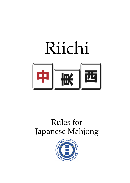

# Rules for Japanese Mahjong

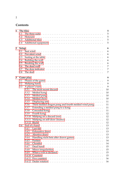# **Contents**

| $\mathbf{1}$   | The tiles | 5                                                                                                                 |
|----------------|-----------|-------------------------------------------------------------------------------------------------------------------|
|                | 1.1       | 5<br>The three suits $\ldots \ldots \ldots \ldots \ldots \ldots \ldots \ldots \ldots \ldots \ldots \ldots \ldots$ |
|                | 1.2       | 5                                                                                                                 |
|                | 1.3       | 5                                                                                                                 |
|                | 1.4       | 5                                                                                                                 |
| $\overline{2}$ | Setup     | 6                                                                                                                 |
|                | 2.1       | 6                                                                                                                 |
|                | 2.2       | 6                                                                                                                 |
|                | 2.3       | 6<br>Seating at the table $\dots \dots \dots \dots \dots \dots \dots \dots \dots \dots \dots \dots$               |
|                | 2.4       | 6                                                                                                                 |
|                | 2.5       | 6                                                                                                                 |
|                | 2.6       | 7                                                                                                                 |
|                | 2.7       | 7<br>The dora indicator $\dots \dots \dots \dots \dots \dots \dots \dots \dots \dots \dots \dots$                 |
|                | 2.8       | 7<br>The deal $\dots\dots\dots\dots\dots\dots\dots\dots\dots\dots\dots\dots\dots\dots\dots\dots$                  |
| 3              |           | 9<br>Game play                                                                                                    |
|                | 3.1       | 9                                                                                                                 |
|                | 3.2       | 9                                                                                                                 |
|                | 3.3       | 9                                                                                                                 |
|                |           | 10<br>3.3.1                                                                                                       |
|                |           | 10<br>3.3.2                                                                                                       |
|                |           | 10<br>3.3.3                                                                                                       |
|                |           | 3.3.4<br>10                                                                                                       |
|                |           | 11<br>3.3.5                                                                                                       |
|                |           | Third melded dragon pung and fourth melded wind pung<br>11<br>3.3.6                                               |
|                |           | Extending a melded pung to a kong $\dots \dots \dots \dots \dots \dots$<br>11<br>3.3.7                            |
|                |           | Concealed kong<br>11<br>3.3.8                                                                                     |
|                |           | 12<br>3.3.9<br>Fourth kong                                                                                        |
|                |           | 12<br>3.3.10                                                                                                      |
|                |           | 12<br>3.3.11                                                                                                      |
|                |           | 12                                                                                                                |
|                | 3.4       | 13<br>End of a hand $\ldots \ldots \ldots \ldots \ldots \ldots \ldots \ldots \ldots \ldots \ldots$                |
|                |           | 3.4.1<br>13                                                                                                       |
|                |           | 3.4.2<br>13                                                                                                       |
|                |           | Abortive draw<br>13<br>3.4.3                                                                                      |
|                |           | 13<br>Handling riichi bets after drawn games<br>3.4.4                                                             |
|                |           | 3.4.5<br>14                                                                                                       |
|                |           | 3.4.6<br>14                                                                                                       |
|                |           | 15<br>3.4.7                                                                                                       |
|                |           | 15<br>3.4.8                                                                                                       |
|                |           | 15<br>3.4.9                                                                                                       |
|                |           | 15<br>3.4.10                                                                                                      |
|                |           | 16                                                                                                                |
|                |           | 16                                                                                                                |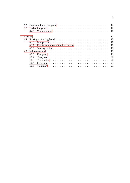|   |         |       |    | 16 |
|---|---------|-------|----|----|
|   |         |       |    | 16 |
|   |         |       |    | 16 |
| 4 | Scoring |       |    | 17 |
|   |         |       |    | 17 |
|   |         |       |    | 17 |
|   |         |       |    | 18 |
|   |         | 4.1.3 |    | 18 |
|   |         |       |    | 19 |
|   |         | 4.2.1 |    | 19 |
|   |         | 4.2.2 |    | 20 |
|   |         | 4.2.3 |    | 20 |
|   |         | 4.2.4 |    | 21 |
|   |         | 4.2.5 | 21 |    |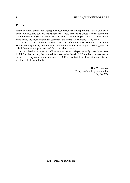## **Preface**

Riichi (modern Japanese mahjong) has been introduced independently in several European countries, and consequently slight differences in the rules exist across the continent. With the scheduling of the first European Riichi Championship in 2008, the need arose to standardize the riichi rules in the context of the European Mahjong Association.

This booklet describes the standard riichi rules of the European Mahjong Association. Thanks go to Sjef Strik, Jenn Barr and Benjamin Boas for great help in shedding light on rule differences and practices and for invaluable advice.

Some rules that have rooted in Europe are different in Japan, notably these three cases: 1. All Simples can only be claimed for a concealed hand. 2. When five counters are on the table, a two yaku minimum is invoked. 3. It is permissible to chow a tile and discard an identical tile from the hand.

> Tina Christensen European Mahjong Association May 14, 2008

http://mahjong-europe.org/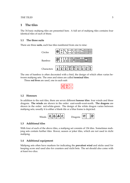## <span id="page-4-0"></span>**1 The tiles**

The 34 basic mahjong tiles are presented here. A full set of mahjong tiles contains four identical tiles of each of these.

#### <span id="page-4-1"></span>**1.1 The three suits**

There are three **suits**, each has tiles numbered from one to nine:



The one of bamboo is often decorated with a bird, the design of which often varies between mahjong sets. The ones and nines are called **terminal tiles**.

Three **red fives** are used, one in each suit:

|--|--|--|

#### <span id="page-4-2"></span>**1.2 Honours**

In addition to the suit tiles, there are seven different **honour tiles**: four winds and three dragons. **The winds** are shown in the order: east-south-west-north. **The dragons** are shown in the order: red-white-green. The design of the white dragon varies between mahjong sets; usually it is either a blank tile or a blue frame is depicted.



## <span id="page-4-3"></span>**1.3 Additional tiles**

With four of each of the above tiles, a mahjong set consists of 136 tiles. Sometimes mahjong sets contain further tiles: flower, season or joker tiles, which are not used in riichi mahjong.

#### <span id="page-4-4"></span>**1.4 Additional equipment**

Mahjong sets often have markers for indicating the **prevalent wind** and sticks used for keeping score and used also for counters and riichi bets. The set should also come with at least two dice.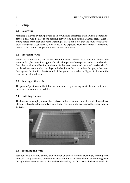# <span id="page-5-0"></span>**2 Setup**

## <span id="page-5-1"></span>**2.1 Seat wind**

Mahjong is played by four players, each of which is associated with a wind, denoted the player's **seat wind**. East is the starting player. South is sitting at East's right, West is sitting across from East, and north is sitting at East's left. Note that the counter-clockwise order east-south-west-north is not as could be expected from the compass directions. During a full game, each player is East at least two times.

## <span id="page-5-2"></span>**2.2 Prevalent wind**

When the game begins, east is the **prevalent wind**. When the player who started the game as East, becomes East again after all other players have played at least one hand as East, the south round begins, and south is the **prevalent wind**. A wind marker should be placed permanently by the player who begins as East, and when this player becomes East again after the first (east) round of the game, the marker is flipped to indicate the new prevalent wind, south.

## <span id="page-5-3"></span>**2.3 Seating at the table**

The players' positions at the table are determined by drawing lots if they are not predefined by a tournament schedule.

## <span id="page-5-4"></span>**2.4 Building the wall**

The tiles are thoroughly mixed. Each player builds in front of himself a wall of face-down tiles, seventeen tiles long and two tiers high. The four walls are pushed together to form a square.



## <span id="page-5-5"></span>**2.5 Breaking the wall**

East rolls two dice and counts that number of players counter-clockwise, starting with himself. The player thus determined breaks the wall in front of him, by counting from the right the same number of tiles as the indicated by the dice. After the last counted tile,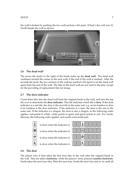SETUP 7

the wall is broken by pushing the two wall sections a bit apart. If East's dice roll was 12, North breaks the wall as shown:



## <span id="page-6-0"></span>**2.6 The dead wall**

The seven tile stacks to the right of the break make up the **dead wall**. The dead wall continues around the corner to the next wall, if the end of the wall is reached. After the seventh tile stack, the two sections of the wall are pushed a bit apart to set the dead wall apart from the end of the wall. The tiles in the dead wall are not used in the play, except for the providing of replacement tiles for kongs.

## <span id="page-6-1"></span>**2.7 The dora indicator**

Count three tiles into the dead wall from the original break in the wall, and turn the top tile over to determine the **dora indicator**. This tile indicates which tile is **dora**. If the dora indicator is a suit tile, the dora is the next tile in the same suit, e.g. seven bamboo is dora if six bamboo is the dora indicator. If the indicator is a nine, the dora is the one in the same suit. If the indicator is a dragon, the dora is also a dragon, as the following order applies: red points to white, white points to green and green points to red. For winds, likewise, the following order applies: east-south-west-north-east.



## <span id="page-6-2"></span>**2.8 The deal**

The player who is East takes the first four tiles in the wall after the original break in the wall. Tiles are taken **clockwise**, while the players' turns proceed **counter-clockwise**, South takes the next four tiles, West the next four, North the next four and so on until all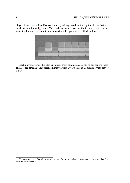players have twelve tiles. East continues by taking two tiles: the top tiles in the first and third stacks in the wall<sup>[1](#page-7-0)</sup>. South, West and North each take one tile in order. East now has a starting hand of fourteen tiles, whereas the other players have thirteen tiles.



Each player arranges his tiles upright in front of himself, so only he can see the faces. The dice are placed at East's right; in this way it is always clear to all players which player is East.

<span id="page-7-0"></span><sup>&</sup>lt;sup>1</sup>This corresponds to East taking one tile, waiting for the other players to take one tile each, and then East takes his fourteenth tile.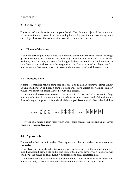## <span id="page-8-0"></span>**3 Game play**

The object of play is to form a complete hand. The ultimate object of the game is to accumulate the most points from the winning hands. It doesn't matter how many hands each player has won, the accumulated score determines the winner.

#### <span id="page-8-1"></span>**3.1 Phases of the game**

A player's **turn** begins when a tile is acquired and ends when a tile is discarded. During a **go-around** all players have their turn once. A go-around is interrupted if a tile is claimed for kong, pung or chow, or a concealed kong is declared. A **hand** lasts until a player has completed a hand and won, or a drawn game occurs. During a **round** all players are East in turn. A complete game consist of two rounds: the east round and the south round.

#### <span id="page-8-2"></span>**3.2 Mahjong hand**

A complete mahjong hand is composed of four sets and a pair. A set may be either a chow, a pung or a kong. In addition, a complete hand must have at least one **yaku** (double). A player who is **furiten**, is not allowed to win on a discard.

A **chow** is three consecutive tiles of the same suit. Chows cannot be made with dragons or winds. 8-9-1 in the same suit is *not* a chow. A **pung** is composed of three identical tiles. A **kong** is composed of four identical tiles. A **pair** is composed of two identical tiles.



Two special hands exist in riichi which are *not* composed of four sets and a pair: **Seven Pairs** and **Thirteen Orphans**.

#### <span id="page-8-3"></span>**3.3 A player's turn**

Players take their turns in order. East begins, and the turn order proceeds **counterclockwise**.

A player begins his turn by drawing a tile. However, since East begins with fourteen tiles, East doesn't draw a tile on his first turn. If the player can't or won't declare a win or a kong, the player ends his turn by discarding one of his concealed tiles.

**Discards** are placed in an orderly fashion, six to a row, in front of each player and within the wall, so that it is clear who discarded which tiles and in which order.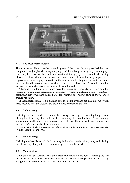

#### <span id="page-9-0"></span>**3.3.1 The most recent discard**

The most recent discard can be claimed by any of the other players, provided they can complete a mahjong hand, a kong or a pung. A claimed kong or pung may result in players losing their turn, as play continues from the claiming player, not from the discarding player. If a player claims a tile for winning, any concurrent claim for pung is ignored. It is possible for several players to win on the same discard. The player about to begin his turn can claim the most recent discard for a chow. If the player doesn't want to claim the discard, he begins his turn by picking a tile from the wall.

Claiming a tile for winning takes precedence over any other claim. Claiming a tile for kong or pung takes precedence over a claim for chow, but should occur within three seconds. A player who has claimed a tile for winning, or for kong, pung or chow, cannot change his claim.

If the most recent discard is claimed after the next player has picked a tile, but within three seconds after the discard, the picked tile is replaced in the wall.

#### <span id="page-9-1"></span>**3.3.2 Melded kong**

Claiming the last discarded tile for a **melded kong** is done by clearly calling **kong** or **kan**, placing the tile face-up along with the three matching tiles from the hand. After revealing a new **kan dora**, the player takes a replacement tile from the dead wall and continues his turn as if he'd drawn a tile from the wall.

The dead wall always comprises 14 tiles, so after a kong the dead wall is replenished with the last tile of the wall.

#### <span id="page-9-2"></span>**3.3.3 Melded pung**

Claiming the last discarded tile for a **pung** is done by clearly calling **pung** and placing the tile face-up along with the two matching tiles from the hand.

#### <span id="page-9-3"></span>**3.3.4 Melded chow**

A tile can only be claimed for a chow from the player on the left. Claiming the last discarded tile for a **chow** is done by clearly calling **chow** or **chi**, placing the tile face-up along with the two tiles from the hand that complete the set.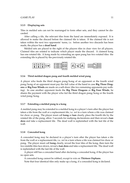#### GAME PLAY 11

#### <span id="page-10-0"></span>**3.3.5 Displaying sets**

Tiles in melded sets can not be rearranged to form other sets, and they cannot be discarded.

After calling a tile, the relevant tiles from the hand are immediately exposed. It is allowed to make the discard before the claimed tile is taken. If the claimed tile is not taken within the next two opponents' turns, i.e. before another two discards has been made, the player has a **dead hand**.

Melded sets are placed to the right of the players tiles in clear view for all players. Claimed tiles are rotated to indicate which player made the discard. A claimed kong has one rotated tile. A kong made by extending an open pung has two rotated tiles: the extending tile is placed by the previously rotated tile.



#### <span id="page-10-1"></span>**3.3.6 Third melded dragon pung and fourth melded wind pung**

A player who feeds the third dragon pung/kong of an opponent or the fourth wind pung/kong of an opponent must pay the full value of the hand in case **Big Three Dragons** or **Big Four Winds** are made on a self-draw (the two remaining opponents pay nothing). In case another opponent feeds the **Big Three Dragons** or **Big Four Winds**, he shares the payment with the player who fed the third dragon pung/kong or the fourth wind pung/kong.

#### <span id="page-10-2"></span>**3.3.7 Extending a melded pung to a kong**

A melded pung may be extended to a melded kong in a player's turn after the player has taken a tile from the wall or a replacement tile, i.e. *not* in a turn where a tile was claimed for chow or pung. The player must call **kong** or **kan** clearly, place the fourth tile by the rotated tile of the pung, allow 3 seconds for mahjong declarations and then reveal a **kan dora** and take a replacement tile. The dead wall is replenished with the last tile of the wall.

#### <span id="page-10-3"></span>**3.3.8 Concealed kong**

A concealed kong may be declared in a player's turn after the player has taken a tile from the wall or a replacement tile, i.e. *not* in a turn where a tile was claimed for chow or pung. The player must call **kong** clearly, reveal the four tiles of the kong, then turn the two middle tiles face-down, reveal a **kan dora** and take a replacement tile. The dead wall is replenished with the last tile of the wall.

A player still has a concealed hand after declaring a concealed kong, if the player has no open sets.

A concealed kong cannot be robbed, except to win on **Thirteen Orphans**.

Note that four identical tiles only make up a kong, if a concealed kong is declared.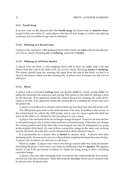#### <span id="page-11-0"></span>**3.3.9 Fourth kong**

If no-one wins on the discard after the **fourth kong**, the hand ends in **abortive draw**, except in the case where it's same player who has all four kongs, in which case playing continues, but no further kongs may be declared.

#### <span id="page-11-1"></span>**3.3.10 Mahjong on a discard (ron)**

A player who can form a valid mahjong hand with at least one **yaku** with the last discard, can win by clearly declaring **ron** or **mahjong**, unless he is **furiten**.

#### <span id="page-11-2"></span>**3.3.11 Mahjong on self-draw (tsumo)**

A player who can form a valid mahjong hand with at least one **yaku** with a tile just drawn from the wall or the dead wall, can win by clearly declaring **tsumo** or **mahjong**. The player should keep the winning tile apart from the rest of the hand, so that it is clear to all players which was the winning tile. A player who is furiten can still win on self-draw.

#### <span id="page-11-3"></span>**3.3.12 Riichi**

A player with a concealed **waiting** hand can declare **riichi** by clearly saying **riichi**, rotating the discarded tile sideways and paying 1000 points to the table by placing a stick by the discards. If an opponent claims the rotated discard for winning, the riichi declaration is invalid. If an opponent claims the rotated tile for a melded set, rotate your next discarded tile.

A player is not allowed to declare riichi if there are less than four tiles left in the wall.

The 1000 points goes back to the riichi declarer if he wins. If another is the winner of the current hand, he collects the 1000 points, and in case of a drawn game the riichi bet stays on the table to be claimed by the next player to win a hand.

A player who declared riichi can no longer change his hand. However, he may declare a concealed kong if a tile is drawn that matches a concealed pung, if this does not change the waiting pattern and if the three tiles to be konged can only be interpreted as a pung in the original riichi hand. (In case of three consecutive pungs in the same suit, no kong may be declared, since the tiles can be interpreted as three identical chows).

It is permissible for a player who is **furiten** to declare riichi. A player who after declaring riichi, chooses not to win on a discard that completes his hand, becomes furiten. A player who is furiten can still win on self-draw.

Riichi is a **yaku**. A player who wins in the first go-around after the riichi declaration (including the player's next draw) can claim an additional yaku for **ippatsu**. The ippatsu chance is lost if the go-around is broken by claims for kong, pung or chow, including concealed kongs.

A player who wins after declaring riichi, reveals the tiles underneath the dora indicator and any kan dora indicators. These tiles indicate **ura dora** which can be claimed only by players who declared riichi.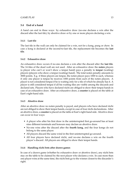## <span id="page-12-0"></span>**3.4 End of a hand**

A hand can end in three ways: by exhaustive draw (no-one declares a win after the discard after the last tile), by abortive draw or by one or more players declaring a win.

## <span id="page-12-1"></span>**3.4.1 Last tile**

The last tile in the wall can only be claimed for a win, not for a kong, pung or chow. In case a kong is declared at the second-to-last tile, the replacement tile becomes the **last tile**.

## <span id="page-12-2"></span>**3.4.2 Exhaustive draw**

An exhaustive draw occurs if no-one declares a win after the discard after the **last tile**. The 14 tiles of the dead wall are not used. After an exhaustive draw the **noten** players (a player who can't or won't show a tenpai hand) pays a penalty to **tenpai** (waiting) players (players who show a tenpai (waiting) hand). The total noten penalty amounts to 3000 points. E.g. if three players are tenpai, the noten player pays 1000 to each, whereas if only one player is tenpai he receives 1000 points from each of the noten players. A player is not considered tenpai if he is waiting only for a tile of which he already has 4. A player is still considered tenpai if all his waiting tiles are visible among the discards and declared sets. Players who have declared riichi are obliged to show their tenpai hands in case of an exhaustive draw. After an exhaustive draw, a **counter** is placed on the table at East's right-hand side.

## <span id="page-12-3"></span>**3.4.3 Abortive draw**

After an abortive draw no noten penalty is payed, and players who have declared riichi are not obliged to show their tenpai hands, except in case of four riichi declarations. After an abortive draw, a **counter**is placed on the table at East's right-hand side. Abortive draw can occur in four ways:

- A player who after his first draw in the uninterrupted first go-around has at least nine different terminals and honours may declare an abortive draw.
- No-one wins after the discard after the **fourth kong**, and the four kongs do not belong to the same player.
- All players discard the same wind in the first uninterrupted go-around.
- All four players have declared riichi, and no-one declares a win on the fourth player's discard. All players are obliged to show their tenpai hands.

## <span id="page-12-4"></span>**3.4.4 Handling riichi bets after drawn games**

In case of a drawn game (whether by exhaustive draw or abortive draw), any riichi bets stay on the table to be claimed by the next player who declares a win. In case more than one player wins at the same time, the riichi bets go to the winner closest to the discarder's right.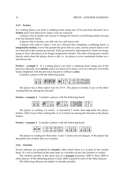#### <span id="page-13-0"></span>**3.4.5 Furiten**

If a waiting player can form a mahjong hand using one of his previous discards, he is **furiten** and is not allowed to claim a win on a discard.

A player who is furiten can choose to change his hand to avoid being furiten (except if he has declared riichi).

A player who is furiten, can still win on a self-drawn tile.

A player who fails to claim a win on a discard that completes a mahjong hand, is **temporarily furiten**, even if the passed tile gives him no yaku, and he cannot claim a win on a discard in the current go-around. If the go-around is interrupted by claims for kong, pung or chow, the player is no longer temporarily furiten. The state of temporary furiten always ends when the player draws a tile, i.e. no player is ever considered furiten on a self-drawn tile.

**Furiten – example 1** If a waiting player can form a mahjong hand using one of his previous discards, he is **furiten** and is not allowed to claim a win on a discard, even if the hand completed with the previous discard is without a **yaku**.

Consider a player with the following hand:



The player has a three-sided wait for 3-6-9. The player is furiten if any of the three waiting tiles are among his discards.

**Furiten – example 2** Consider a player with the following hand:

| 数<br>-<br>-<br><b>PENSION</b><br>W.<br>. Yu<br>76<br>湡<br>m<br>۳Đ<br>- - | <b>Julian</b><br><b>REGIST</b><br>m<br>w | п<br>пп<br>п<br>п | œ<br>ဖ<br>ω<br>E<br>۳ |
|--------------------------------------------------------------------------|------------------------------------------|-------------------|-----------------------|
|--------------------------------------------------------------------------|------------------------------------------|-------------------|-----------------------|

The player is waiting 1-4 circles. A discarded 7 circles does **not** make the player furiten. Only if one of the waiting tiles (1 or 4 circles) are among the discards is the player furiten.

**Furiten – example 3** Consider a player with the following hand:



The player is waiting for three tiles: 4 and 7 circles and red dragon. If the player has discarded one of these tiles, he is furiten.

#### <span id="page-13-1"></span>**3.4.6 Chombo**

Severe offenses are punished by **chombo**, after which there is a re-deal of the current hand. If a win is declared at the same time as a chombo occurs, the chombo is voided.

The chombo penalty is the same size as a **mangan** payment: 4000 to East, 2000 to other players. If the offending player is East, 4000 is payed to each of the other players.

The following offences are subject to chombo penalty: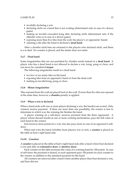#### GAME PLAY 15

- invalidly declaring a win
- declaring riichi on a hand that is not waiting (determined only in case of a drawn game)
- making an invalid concealed kong after declaring riichi (determined only if the offender wins or in case of a drawn game)
- exposing more than five tiles from the wall, the player's or opponents' hands
- claiming a tile after the hand is declared a **dead hand**

After a chombo riichi bets are returned to the players who declared riichi, and there is a re-deal. No counter is placed, and the dealer does not rotate.

#### <span id="page-14-0"></span>**3.4.7 Dead hand**

Some irregularities that are not punished by chombo result instead in a **dead hand**. A player who has a dead hand is not allowed to declare a win, kong, pung or chow, and can never be considered **tenpai**.

The following irregularites result in a dead hand:

- too few or too many tiles on the hand
- exposing tiles from an opponent's hand or from the dead wall
- making an invalid kong, pung or chow

#### <span id="page-14-1"></span>**3.4.8 Minor irregularities**

Tiles exposed from the wall are placed back in the wall. If more than five tiles are exposed at the same time, however, a **chombo** penalty is applied.

#### <span id="page-14-2"></span>**3.4.9 When a win is declared**

When a hand ends with one or more playes declaring a win, the hand(s) are scored. Only winners receive payment. If there are more than one possibility, the winner is free to determine in which way the winning tile finishes the hand.

A player winning on a self-draw, receives payment from the three opponents. A player whose discard results in one or more winning declarations, pays the full value of each hand to the winner.

East receives more points for a win, but also pays more in case of an opponent's selfdraw.

When east wins the hand (whether more players win or not), a **counter** is placed on the table at East's right-hand side.

#### <span id="page-14-3"></span>**3.4.10 Counters**

A **counter** is placed on the table at East's right-hand side after a hand where East declared a win and after an **exhaustive draw** or **abortive draw**.

Each counter on the table increases the value of a winning hand by 300 points. In case of self-draw the payment is shared, so each opponent pays 100 points for each counter to the winner, in addition to the standard payment for the hand.

All counters are removed after a hand where another player than East declared a win, and East did not.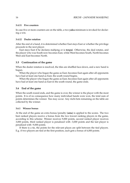#### <span id="page-15-0"></span>**3.4.11 Five counters**

In case five or more counters are on the table, a two **yaku** minimum is invoked for declaring a win.

#### <span id="page-15-1"></span>**3.4.12 Dealer rotation**

After the end of a hand, it is determined whether East stays East or whether the privilege proceeds to the next player.

East stays East if he declares mahjong or is **tenpai**. Otherwise, the deal rotates, and the player who was South now becomes East, while West becomes South, North becomes West and East becomes North.

## <span id="page-15-2"></span>**3.5 Continuation of the game**

When the dealer rotation is resolved, the tiles are shuffled face-down, and a new hand is begun.

When the player who began the game as East, becomes East again after all opponents have had at least one hand as East, the south round begins.

When the player who began the game as East, becomes East again after all opponents have had at least one hand as East in the south round, the game ends.

#### <span id="page-15-3"></span>**3.6 End of the game**

When the south round ends, and the game is over, the winner is the player with the most points. It is of no consequence how many individual hands were won, the total sum of points determines the winner. Ties may occur. Any riichi bets remaining on the table are collected by the winner.

#### <span id="page-15-4"></span>**3.6.1 Winner bonus**

At the end of the game an extra bonus/penalty (**uma**) is applied to the scores. The two best ranked players receive a bonus from the two lowest ranking players in the game, according to this scheme: Winner receives 9,000 points, second ranked player receives 3,000 points, third ranked player is penalized with -3,000 points and the last player is penalized with -9,000 points.

If there is a tie, the points for the relevant places are split between the tied players. E.g. if two players are tied at the first position, each gets a bonus of 6,000 points.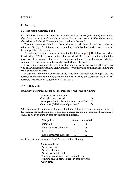## <span id="page-16-0"></span>**4 Scoring**

#### <span id="page-16-1"></span>**4.1 Scoring a winning hand**

First find the number of **fan** (doubles): Add the number of yaku (at least one), the number of red fives, the number of dora tiles, kan dora tiles and in case of a riichi hand the number of ura dora in the hand. This sum is the fan value of the hand.

Then the base value of the hand, the **minipoints**, is calculated. Round the number up to the next 10. (e.g. 32 minipoints are rounded up to 40). For hands with five or more fan the minipoints are irrelevant.

The value of the hand can now be found in the tables on p. [23.](#page-17-1) The tables are further described in [4.1.3.](#page-17-1) To the value in the table are added 100 for each counter on the table in case of self-draw, and 300 in case of winning on a discard. In addition any riichi bets from players who didn't win the hand are collected by the winner.

In case more than one player wins at the same time, the discarder settles the score with each winner individually. Each winner receives the value of the hand including the value of counters in play.

In case more than one player wins at the same time, the riichi bets from players who declared riichi without winning go to the winner closest to the discarder's right. Riichi declarers that win, always get their riichi bet back.

#### <span id="page-16-2"></span>**4.1.1 Minipoints**

You always get minipoints for one the three following ways of winning:

## **Minipoints for winning:** Concealed on a discard 30

| Seven pairs (no further minipoints are added) 25 |    |
|--------------------------------------------------|----|
| Otherwise (Self-draw or Open hand)               | 20 |

Add minipoints for pungs and kongs in the hand. Chows have no minipoint value. If the winning tile finishes a pung, it counts as a concealed pung in case of self-draw, and it counts as an open pung in case of winning on a discard.

| Minipoints              | Open | Concealed |
|-------------------------|------|-----------|
| Pung, 2-8               |      |           |
| Pung, terminals/honours |      |           |
| Kong, 2-8               |      | 16        |
| Kong, terminals/honours | 16   | 37        |

In addition 2 minipoints are added for each of the following:

**2 minipoints for:** Pair of dragons Pair of seat wind Pair of prevalent wind Winning on an edge, closed or single wait Winning on self-draw (except in case of pinfu) Open pinfu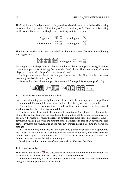The 2 minipoints for edge, closed or single wait can be claimed even if the hand is waiting for other tiles. Edge wait is 1-2 waiting for 3 or 8-9 waiting for 7. Closed wait is waiting for the centre tile of a chow. Single wait is waiting to finish the pair.



The winner decides which set is finished by the winning tile. Consider the following waiting pattern:



Winning on the 7, the player can choose whether to claim 2 minipoints for egde wait or claim 0 minipoints for finishing the two-sided 5-6-7 chow. The latter would allow the player to claim a yaku for pinfu on a concealed hand.

2 minipoints are awarded for winning on a self-drawn tile. This is voided, however, in case a yaku is claimed for **pinfu**.

An open hand worth no minipoints is awarded 2 minipoints for **open pinfu**. E.g.:



#### <span id="page-17-0"></span>**4.1.2 Exact calculation of the hand value**

Instead of calculating manually the value of the hand, the tables provided on p. [23](#page-17-1) are recommended. For completeness, however, the calculation procedure is given here.

For hands worth five or more fan, the table for limit hands is used. For hands worth less than five fan, the value is calculated thus:

The base value of the hand (the minipoints rounded up) are doubled by the number of fan plus 2. This figure is the base figure to be paid by all three opponents in case of self-draw. For East, however, the figure is doubled one more time. East receives double payment, but also pays twice the amount of the base figure in case of an opponent's selfdraw. Payments are rounded up to the next 100, though never exceeding the value of a **mangan**.

In case of winning on a discard, the discarding player must pay for all opponents, incl. East, i.e. four times the base figure if the winner is not East, and three times the doubled base figure if the winner is East. The payment is rounded up to the next 100, though never exceeding the value of a **mangan**.

In addition to this is the value of counters and riichi bets on the table.

#### <span id="page-17-1"></span>**4.1.3 Scoring tables**

The scoring tables on p. [23](#page-17-1) are categorized by whether the winner is East or not, and whether the win was on a discard (**ron**) or on self-draw (**tsumo**).

In the relevant table, use the column that gives the fan value of the hand and the row that gives the minipoint value of the hand.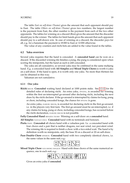#### SCORING 19

The table *East on self-draw (Tsumo)* gives the amount that each opponent should pay to East. The table *Others on self-draw (Tsumo)* gives two numbers; the largest number is the payment from East, the other number is the payment from each of the two other opponents. The tables for winning on a discard (Ron) gives the amount that the discarder should pay to the winner. The tables for limit hands gives the amount that each opponent should pay to a self-drawn win. In case of winning on a discard, the discarder pays for all, e.g. for a haneman the payment is 18 000 to East or 12 000 otherwise.

The value of any counters and riichi bets are added to the value found in the tables.

#### <span id="page-18-0"></span>**4.2 Yaku overview**

Several yaku requires that the hand is concealed. A **concealed hand** can be won on a discard. If the discarded winning tile finishes a pung, the pung is considered open when scoring the minipoints, but the hand as such is still concealed.

The yaku are all cumulative, so several yaku may be combined in the same mahjong hand. E.g. a concealed hand with **All Simples** and **Mixed Triple Chows** is worth 4 yaku on a self-draw. If the hand is open, it is worth only one yaku. No more than thirteen fan can be obtained in this way.

Yakuman are not cumulative.

#### <span id="page-18-1"></span>**4.2.1 One yaku**

**Riichi** RIICHI **Concealed** waiting hand declared at 1000 points stake. See [3.3.12](#page-11-3) for the detailed rules of declaring riichi. An extra yaku, IPPATSU, is awarded for winning within the first un-interrupted go-around after declaring riichi, including the next draw by the riichi declarer. If the go-around is interrupted by claims for kong, pung or chow, including concealed kongs, the chance for IPPATSU is gone.

An extra yaku, DABURU RIICHI, is awarded for declaring riichi in the first go-around, i.e. in the players very first turn. The first go-around must be un-interrupted, i.e. if any claims for kong, pung or chow, including concealed kongs, has occurred before the riichi declaration, DABURU RIICHI is not possible.

**Fully Concealed Hand** MENZEN TSUMO Winning on a self-draw on a **concealed** hand.

**All Simples** TANYAO CHUU **Concealed** hand with no terminals and honours.

- **Pinfu** PINFU **Concealed** all chows hand with a valueless pair. I.e. a concealed hand with four chows and a pair that is neither dragons, nor seat wind, nor prevalent wind. The winning tile is required to finish a chow with a two-sided wait. The hand is by definition worth no minipoints, only the base 30 on a discard or 20 on self-draw.
- Pure Double Chow **IIPEIKOU** Concealed hand with two completely identical chows, i.e. the same values in the same suit, e.g.:



**Mixed Triple Chow** SAN SHOKU DOUJUN Hand with three chows of the same numerical sequence, one in each suit, e.g.:



Gives an extra yaku if **concealed**.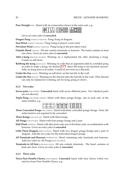**Pure Straight** ITSU Hand with tre consecutive chows in the same suit, e.g.:

|  | <b>WEBERTHE HEADER</b> |  |
|--|------------------------|--|
|--|------------------------|--|

Gives an extra yaku if **concealed**.

**Dragon Pung** FANPAI/YAKUHAI Pung/kong of dragons.

**Seat Wind** FANPAI/YAKUHAI Pung/kong in player's seat wind.

**Prevalent Wind** FANPAI/YAKUHAI Pung/kong in the prevalent wind.

- **Outside Hand** CHANTA All sets contain terminals or honours. The hand contains at least one chow. Gives an extra yaku if **concealed**.
- **After a kong** RINCHAN KAIHOU Winning on a replacement tile after declaring a kong. Counts as self-draw.
- **Robbing the kong** CHAN KAN Winning on a tile that an opponent adds to a melded pung in order to make a kong, see Section [3.3.7.](#page-10-2) Since the kong is not declared successfully, no kong dora is revealed. Counts as ron (win on a discard).

**Under the Sea** HAITEI Winning on self-draw on the last tile in the wall.

**Under the Sea** HOUTEI Winning on the discard after the last tile in the wall. (This discard can only be claimed for winning, not for kong, pung or chow).

#### <span id="page-19-0"></span>**4.2.2 Two yaku**

- **Seven pairs** CHII TOITSU **Concealed** hand with seven different pairs. Two identical pairs are not allowed.
- **Triple Pung** SAN SHOKU DOKOU Hand with three pungs/kongs, one in each suit, of the same number, e.g.:

| ⊛ ⊛  ⊛ ⊛  ⊗ ⊛   <b>လ္သာ   လ္သာ</b>    EE EE EE EE EE E<br> ⊛⊗ ⊗⊗ ⊛ | -⊗    萬   萬   萬     <del> </del> 日   日   日   日 |  |  |  |  |  |  |  |  |  |
|--------------------------------------------------------------------|------------------------------------------------|--|--|--|--|--|--|--|--|--|
|--------------------------------------------------------------------|------------------------------------------------|--|--|--|--|--|--|--|--|--|

**Three Concealed Pungs** SAN ANKOU Hand with three concealed pungs/kongs. Note, the entire hand is not required to be concealed.

**Three Kongs** SAN KAN TSU Hand with three kongs.

**All Pungs** TOI-TOI HOU Hand with four pungs/kongs and a pair.

- **Half Flush** HONITSU Hand with tiles from only one of the three suits, in combination with honours. Gives an extra yaku if **concealed**.
- Little Three Dragons SHOU SANGEN Hand with two dragon pungs/kongs and a pair of dragons. Add the two yaku for the individual dragon pungs.
- All Terminals and Honours **HONROUTOU** Hand containing only terminals and honours. Add two yaku for All Pungs (TOI-TOI HOU).
- **Terminals in All Sets** JUNCHAN TAIYAI All sets contain terminals. The hand contains at least one chow. Gives an extra yaku if **concealed**.

#### <span id="page-19-1"></span>**4.2.3 Three yaku**

**Twice Pure Double Chows,** RYAN PEIKOU **Concealed** hand with four chows which two and two form Pure Double Chows, e.g.: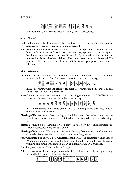| œ,<br>⊕<br>ு இை<br>800<br>₩<br>爱<br>\$8<br>\$<br>œ.<br>₩<br>808<br>œ | ø<br>\$<br>'®®®'<br>1000<br>Š<br>888<br>\$<br>88<br>⊛<br>000<br>ā.<br>⊕ | $\rightarrow$<br>TI.<br>语<br>面<br>面 | 禺<br>迎 | 虿 |
|----------------------------------------------------------------------|-------------------------------------------------------------------------|-------------------------------------|--------|---|
|----------------------------------------------------------------------|-------------------------------------------------------------------------|-------------------------------------|--------|---|

No additional yaku for Pure Double Chow (IIPEIKOU) are counted.

#### <span id="page-20-0"></span>**4.2.4 Five yaku**

- Full Flush CHINITSU Hand composed entirely of tiles from only one of the three suits. No honours allowed. Gives an extra yaku if **concealed**.
- **All Terminals and Honours Discard** NAGASHI MANGAN This special hand cannot be combined with any other hand. After an exhaustive draw, a player can claim this special hand if he has a **concealed** hand, has discarded only terminal and honour tiles and none of his discards has been claimed. The player does not have to be tenpai. The player receives payment equivalent to a self-drawn **mangan**, plus counters and riichi bets.

#### <span id="page-20-1"></span>**4.2.5 Yakuman**

**Thirteen Orphans** KOKU SHIMUSOU **Concealed** hand with one of each of the 13 different terminal and honour tiles plus one extra terminal or honour tile, e.g.:

| 博<br>  888 <br>≖<br>- <i>INV</i><br>ъ.<br>. .<br>œх | . .<br>٠O<br>ю |  | - 17 |  |
|-----------------------------------------------------|----------------|--|------|--|
|-----------------------------------------------------|----------------|--|------|--|

In case of winning with a **thirteen-sided wait**, i.e. winning on the tile that is paired, an additional yakuman is awarded.

**Nine Gates** CHUUREN POOTO **Concealed** hand consisting of the tiles 1112345678999 in the same suit plus any one extra tile in the same suit, e.g.:

|--|--|

In case of winning with a **nine-sided wait**, i.e. winning on the extra tile, an additional yakuman is awarded.

- **Blessing of Heaven** TENHO East winning on his initial deal. Concealed kong is not allowed. No extra yakuman can be obtained for a thirteen-sided, nine-sided or single wait.
- **Blessing of Earth** CHIHO Winning on self-draw in the very first un-interrupted goaround. Concealed kong is not allowed.
- **Blessing of Man** RENHO Winning on a discard in the very first un-interrupted go-around. Concealed kongs are also considered to interrupt the go-around.
- **Four Concealed Pungs** SUU ANKOU **Concealed** hand with four concealed pungs/kongs. Winning on a discard is allowed only in case of single wait on the pair. In case of winning on a single wait on the pair, an additional yakuman is awarded.

**Four kongs** SUU KAN TSU Hand with four kongs.

All Green RYUU IISOU Hand composed entirely of green tiles. Green tiles are: green dragons and 2, 3, 4, 6 and 8 of bamboo. E.g.:

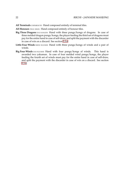- **All Terminals** CHINROUTO Hand composed entirely of terminal tiles.
- All Honours TSUU IISOU Hand composed entirely of honour tiles.
- **Big Three Dragons** DAI SANGEN Hand with three pungs/kongs of dragons. In case of three melded dragon pungs/kongs, the player feeding the third set of dragons must pay for the entire hand in case of self-draw, and split the payment with the discarder in case of win on a discard. See section [3.3.6.](#page-10-1)
- **Little Four Winds** SHOU SUUSHII Hand with three pungs/kongs of winds and a pair of winds.
- **Big Four Winds** DAI SUUSHII Hand with four pungs/kongs of winds. This hand is awarded two yakuman. In case of four melded wind pungs/kongs, the player feeding the fourth set of winds must pay for the entire hand in case of self-draw, and split the payment with the discarder in case of win on a discard. See section [3.3.6.](#page-10-1)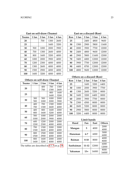| 20  |      | 700  |      |      |
|-----|------|------|------|------|
|     |      |      | 1300 | 2600 |
| 25  |      |      | 1600 | 3200 |
| 30  | 500  | 1000 | 2000 | 3900 |
| 40  | 700  | 1300 | 2600 | 4000 |
| 50  | 800  | 1600 | 3200 | 4000 |
| 60  | 1000 | 2000 | 3900 | 4000 |
| 70  | 1200 | 2300 | 4000 | 4000 |
| 80  | 1300 | 2600 | 4000 | 4000 |
| 90  | 1500 | 2900 | 4000 | 4000 |
| 100 | 1600 | 3200 | 4000 | 4000 |

#### **East on self-draw (Tsumo)**

## **East on a discard (Ron)**

| Ron | 1 fan | 2 fan | 3 fan | 4 fan |  |
|-----|-------|-------|-------|-------|--|
| 25  |       | 2400  | 4800  | 9600  |  |
| 30  | 1500  | 2900  | 5800  | 11600 |  |
| 40  | 2000  | 3900  | 7700  | 12000 |  |
| 50  | 2400  | 4800  | 9600  | 12000 |  |
| 60  | 2900  | 5800  | 11600 | 12000 |  |
| 70  | 3400  | 6800  | 12000 | 12000 |  |
| 80  | 3900  | 7700  | 12000 | 12000 |  |
| 90  | 4400  | 8700  | 12000 | 12000 |  |
| 100 | 4800  | 9600  | 12000 | 12000 |  |

## **Others on self-draw (Tsumo)**

| Tsumo | 1 fan | 2 fan | 3 fan | 4 fan |
|-------|-------|-------|-------|-------|
|       |       | 400   | 700   | 1300  |
| 20    |       | 700   | 1300  | 2600  |
|       |       |       | 800   | 1600  |
| 25    |       |       | 1600  | 3200  |
|       | 300   | 500   | 1000  | 2000  |
| 30    | 500   | 1000  | 2000  | 3900  |
|       | 400   | 700   | 1300  | 2000  |
| 40    | 700   | 1300  | 2600  | 4000  |
|       | 400   | 800   | 1600  | 2000  |
| 50    | 800   | 1600  | 3200  | 4000  |
|       | 500   | 1000  | 2000  | 2000  |
| 60    | 1000  | 2000  | 3900  | 4000  |
|       | 600   | 1200  | 2000  | 2000  |
| 70    | 1200  | 2300  | 4000  | 4000  |
|       | 700   | 1300  | 2000  | 2000  |
| 80    | 1300  | 2600  | 4000  | 4000  |
|       | 800   | 1500  | 2000  | 2000  |
| 90    | 1500  | 2900  | 4000  | 4000  |
|       | 800   | 1600  | 2000  | 2000  |
| 100   | 1600  | 3200  | 4000  | 4000  |

The tables are described in [4.1.3](#page-17-1) on p. [18.](#page-17-1)

## **Others on a discard (Ron)**

| Ron | 1 fan | 2 fan | 3 fan | 4 fan |  |
|-----|-------|-------|-------|-------|--|
| 25  |       | 1600  | 3200  | 6400  |  |
| 30  | 1000  | 2000  | 3900  | 7700  |  |
| 40  | 1300  | 2600  | 5200  | 8000  |  |
| 50  | 1600  | 3200  | 6400  | 8000  |  |
| 60  | 2000  | 3900  | 7700  | 8000  |  |
| 70  | 2300  | 4500  | 8000  | 8000  |  |
| 80  | 2600  | 5200  | 8000  | 8000  |  |
| 90  | 2900  | 5800  | 8000  | 8000  |  |
| 100 | 3200  | 6400  | 8000  | 8000  |  |

#### **Limit hands**

| Hand          | Fan       | East  | <b>Others</b> |
|---------------|-----------|-------|---------------|
|               |           |       | 2000          |
| Mangan        | 5         | 4000  | 4000          |
|               |           |       | 3000          |
| Haneman       | $6 - 7$   | 6000  | 6000          |
|               |           |       | 4000          |
| <b>Baiman</b> | $8 - 10$  | 8000  | 8000          |
|               |           |       | 6000          |
| Sanbaiman     | $11 - 12$ | 12000 | 12000         |
|               |           |       | 8000          |
| Yakuman       | $13+$     | 16000 | 16000         |